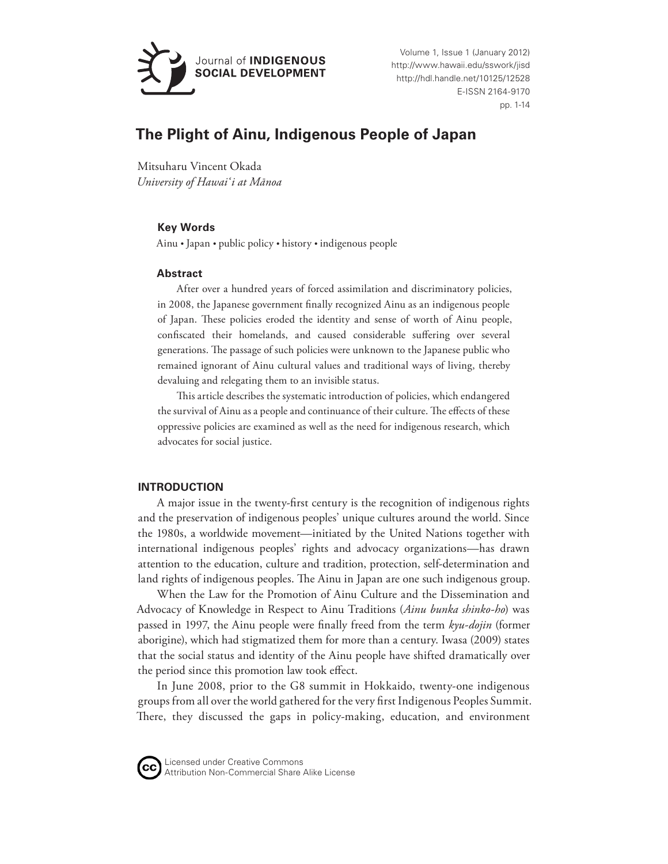

Volume 1, Issue 1 (January 2012) http://www.hawaii.edu/sswork/jisd http://hdl.handle.net/10125/12528 E-ISSN 2164-9170 pp. 1-14

# **The Plight of Ainu, Indigenous People of Japan**

Mitsuharu Vincent Okada *University of Hawai'i at Mānoa*

### **Key Words**

Ainu • Japan • public policy • history • indigenous people

### **Abstract**

After over a hundred years of forced assimilation and discriminatory policies, in 2008, the Japanese government finally recognized Ainu as an indigenous people of Japan. These policies eroded the identity and sense of worth of Ainu people, confiscated their homelands, and caused considerable suffering over several generations. The passage of such policies were unknown to the Japanese public who remained ignorant of Ainu cultural values and traditional ways of living, thereby devaluing and relegating them to an invisible status.

This article describes the systematic introduction of policies, which endangered the survival of Ainu as a people and continuance of their culture. The effects of these oppressive policies are examined as well as the need for indigenous research, which advocates for social justice.

# **INTRODUCTION**

A major issue in the twenty-first century is the recognition of indigenous rights and the preservation of indigenous peoples' unique cultures around the world. Since the 1980s, a worldwide movement—initiated by the United Nations together with international indigenous peoples' rights and advocacy organizations—has drawn attention to the education, culture and tradition, protection, self-determination and land rights of indigenous peoples. The Ainu in Japan are one such indigenous group.

When the Law for the Promotion of Ainu Culture and the Dissemination and Advocacy of Knowledge in Respect to Ainu Traditions (*Ainu bunka shinko-ho*) was passed in 1997, the Ainu people were finally freed from the term *kyu-dojin* (former aborigine), which had stigmatized them for more than a century. Iwasa (2009) states that the social status and identity of the Ainu people have shifted dramatically over the period since this promotion law took effect.

In June 2008, prior to the G8 summit in Hokkaido, twenty-one indigenous groups from all over the world gathered for the very first Indigenous Peoples Summit. There, they discussed the gaps in policy-making, education, and environment



Licensed under Creative Commons Attribution Non-Commercial Share Alike License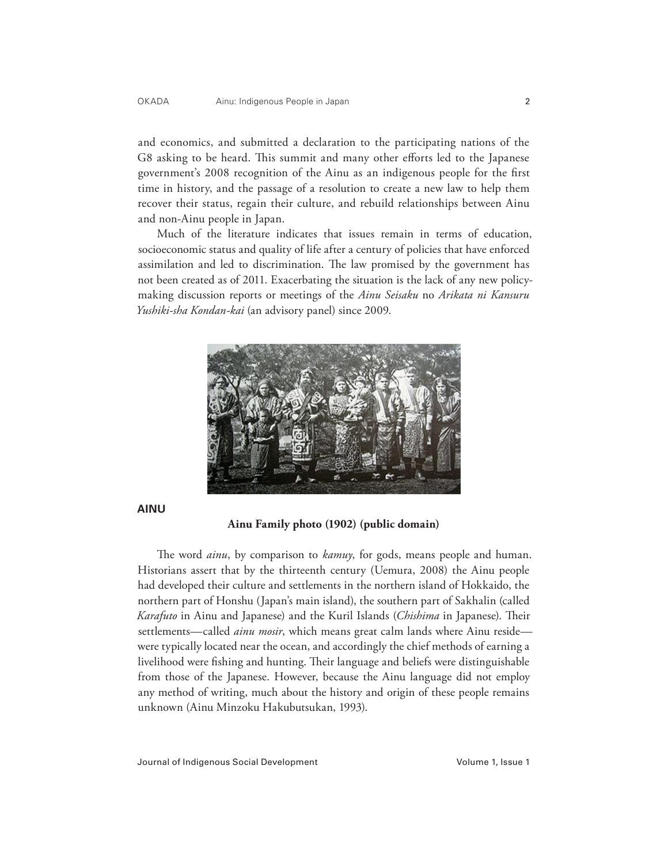and economics, and submitted a declaration to the participating nations of the G8 asking to be heard. This summit and many other efforts led to the Japanese government's 2008 recognition of the Ainu as an indigenous people for the first time in history, and the passage of a resolution to create a new law to help them recover their status, regain their culture, and rebuild relationships between Ainu and non-Ainu people in Japan.

Much of the literature indicates that issues remain in terms of education, socioeconomic status and quality of life after a century of policies that have enforced assimilation and led to discrimination. The law promised by the government has not been created as of 2011. Exacerbating the situation is the lack of any new policymaking discussion reports or meetings of the *Ainu Seisaku* no *Arikata ni Kansuru Yushiki-sha Kondan-kai* (an advisory panel) since 2009.



**AINU**

**Ainu Family photo (1902) (public domain)**

The word *ainu*, by comparison to *kamuy*, for gods, means people and human. Historians assert that by the thirteenth century (Uemura, 2008) the Ainu people had developed their culture and settlements in the northern island of Hokkaido, the northern part of Honshu (Japan's main island), the southern part of Sakhalin (called *Karafuto* in Ainu and Japanese) and the Kuril Islands (*Chishima* in Japanese). Their settlements—called *ainu mosir*, which means great calm lands where Ainu reside were typically located near the ocean, and accordingly the chief methods of earning a livelihood were fishing and hunting. Their language and beliefs were distinguishable from those of the Japanese. However, because the Ainu language did not employ any method of writing, much about the history and origin of these people remains unknown (Ainu Minzoku Hakubutsukan, 1993).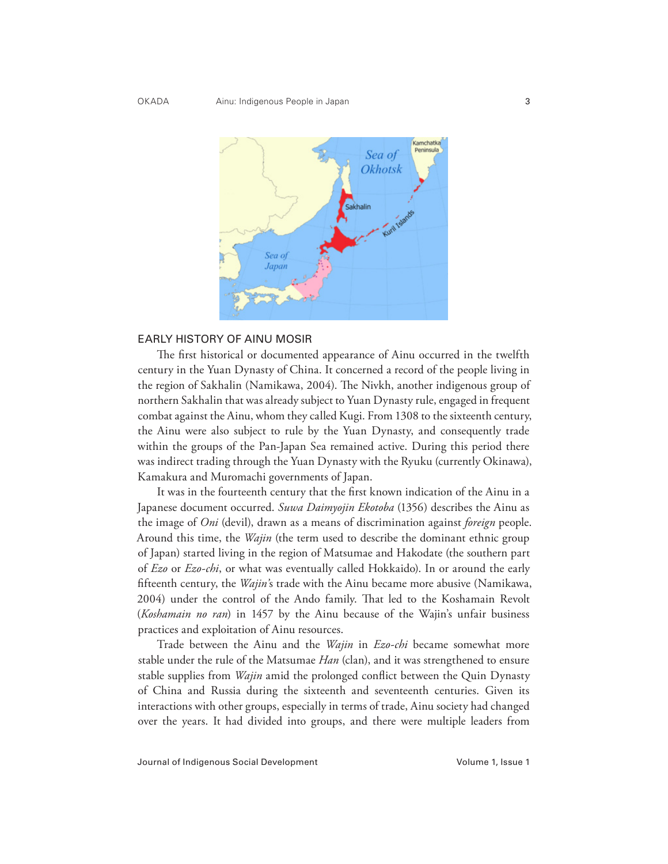

#### EARLY HISTORY OF AINU MOSIR

The first historical or documented appearance of Ainu occurred in the twelfth century in the Yuan Dynasty of China. It concerned a record of the people living in the region of Sakhalin (Namikawa, 2004). The Nivkh, another indigenous group of northern Sakhalin that was already subject to Yuan Dynasty rule, engaged in frequent combat against the Ainu, whom they called Kugi. From 1308 to the sixteenth century, the Ainu were also subject to rule by the Yuan Dynasty, and consequently trade within the groups of the Pan-Japan Sea remained active. During this period there was indirect trading through the Yuan Dynasty with the Ryuku (currently Okinawa), Kamakura and Muromachi governments of Japan.

It was in the fourteenth century that the first known indication of the Ainu in a Japanese document occurred. *Suwa Daimyojin Ekotoba* (1356) describes the Ainu as the image of *Oni* (devil), drawn as a means of discrimination against *foreign* people. Around this time, the *Wajin* (the term used to describe the dominant ethnic group of Japan) started living in the region of Matsumae and Hakodate (the southern part of *Ezo* or *Ezo-chi*, or what was eventually called Hokkaido). In or around the early fifteenth century, the *Wajin'*s trade with the Ainu became more abusive (Namikawa, 2004) under the control of the Ando family. That led to the Koshamain Revolt (*Koshamain no ran*) in 1457 by the Ainu because of the Wajin's unfair business practices and exploitation of Ainu resources.

Trade between the Ainu and the *Wajin* in *Ezo-chi* became somewhat more stable under the rule of the Matsumae *Han* (clan), and it was strengthened to ensure stable supplies from *Wajin* amid the prolonged conflict between the Quin Dynasty of China and Russia during the sixteenth and seventeenth centuries. Given its interactions with other groups, especially in terms of trade, Ainu society had changed over the years. It had divided into groups, and there were multiple leaders from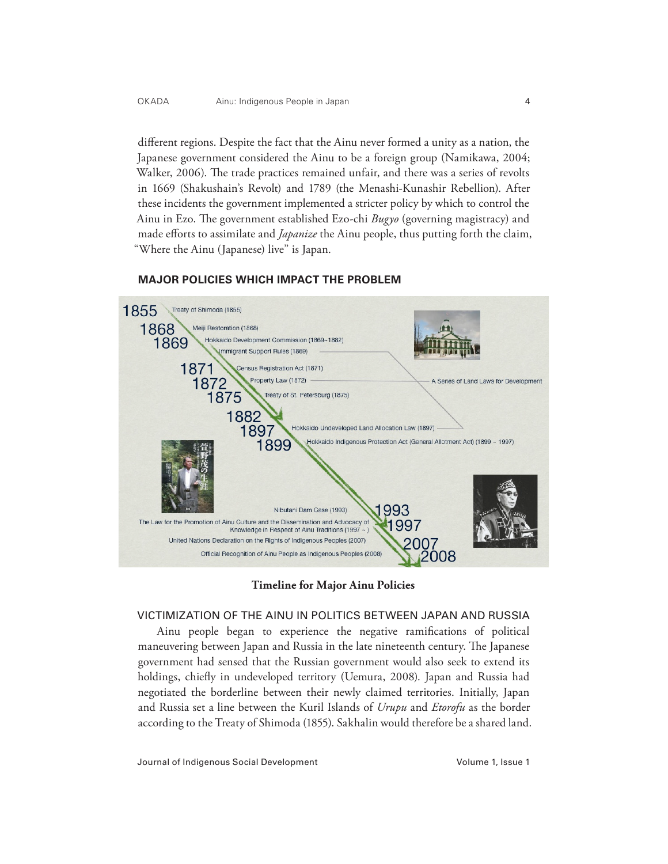different regions. Despite the fact that the Ainu never formed a unity as a nation, the Japanese government considered the Ainu to be a foreign group (Namikawa, 2004; Walker, 2006). The trade practices remained unfair, and there was a series of revolts in 1669 (Shakushain's Revolt) and 1789 (the Menashi-Kunashir Rebellion). After these incidents the government implemented a stricter policy by which to control the Ainu in Ezo. The government established Ezo-chi *Bugyo* (governing magistracy) and made efforts to assimilate and *Japanize* the Ainu people, thus putting forth the claim, "Where the Ainu (Japanese) live" is Japan.



### **MAJOR POLICIES WHICH IMPACT THE PROBLEM**

**Timeline for Major Ainu Policies**

### VICTIMIZATION OF THE AINU IN POLITICS BETWEEN JAPAN AND RUSSIA

Ainu people began to experience the negative ramifications of political maneuvering between Japan and Russia in the late nineteenth century. The Japanese government had sensed that the Russian government would also seek to extend its holdings, chiefly in undeveloped territory (Uemura, 2008). Japan and Russia had negotiated the borderline between their newly claimed territories. Initially, Japan and Russia set a line between the Kuril Islands of *Urupu* and *Etorofu* as the border according to the Treaty of Shimoda (1855). Sakhalin would therefore be a shared land.

Journal of Indigenous Social Development Volume 1, Issue 1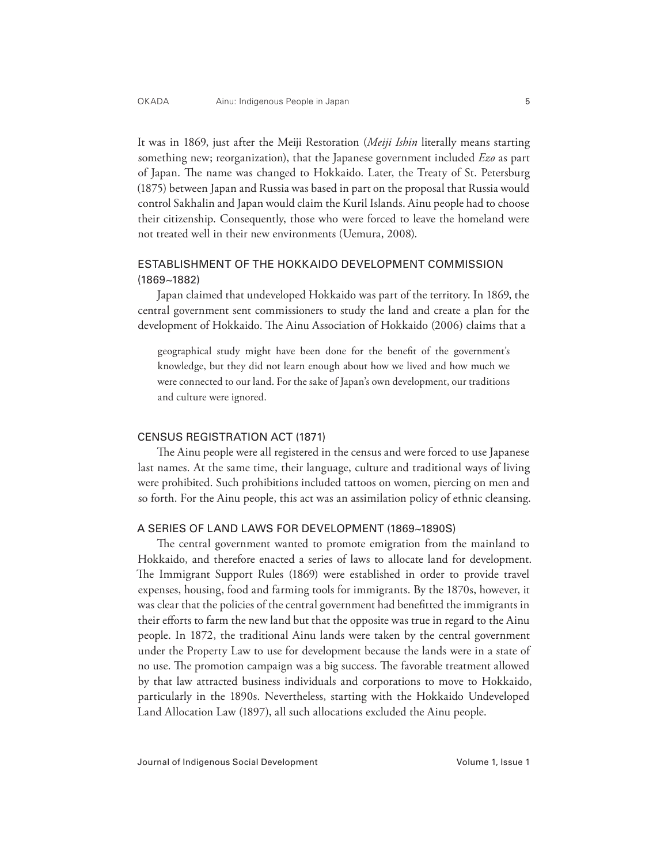It was in 1869, just after the Meiji Restoration (*Meiji Ishin* literally means starting something new; reorganization), that the Japanese government included *Ezo* as part of Japan. The name was changed to Hokkaido. Later, the Treaty of St. Petersburg (1875) between Japan and Russia was based in part on the proposal that Russia would control Sakhalin and Japan would claim the Kuril Islands. Ainu people had to choose their citizenship. Consequently, those who were forced to leave the homeland were not treated well in their new environments (Uemura, 2008).

# ESTABLISHMENT OF THE HOKKAIDO DEVELOPMENT COMMISSION (1869~1882)

Japan claimed that undeveloped Hokkaido was part of the territory. In 1869, the central government sent commissioners to study the land and create a plan for the development of Hokkaido. The Ainu Association of Hokkaido (2006) claims that a

geographical study might have been done for the benefit of the government's knowledge, but they did not learn enough about how we lived and how much we were connected to our land. For the sake of Japan's own development, our traditions and culture were ignored.

### CENSUS REGISTRATION ACT (1871)

The Ainu people were all registered in the census and were forced to use Japanese last names. At the same time, their language, culture and traditional ways of living were prohibited. Such prohibitions included tattoos on women, piercing on men and so forth. For the Ainu people, this act was an assimilation policy of ethnic cleansing.

### A SERIES OF LAND LAWS FOR DEVELOPMENT (1869~1890S)

The central government wanted to promote emigration from the mainland to Hokkaido, and therefore enacted a series of laws to allocate land for development. The Immigrant Support Rules (1869) were established in order to provide travel expenses, housing, food and farming tools for immigrants. By the 1870s, however, it was clear that the policies of the central government had benefitted the immigrants in their efforts to farm the new land but that the opposite was true in regard to the Ainu people. In 1872, the traditional Ainu lands were taken by the central government under the Property Law to use for development because the lands were in a state of no use. The promotion campaign was a big success. The favorable treatment allowed by that law attracted business individuals and corporations to move to Hokkaido, particularly in the 1890s. Nevertheless, starting with the Hokkaido Undeveloped Land Allocation Law (1897), all such allocations excluded the Ainu people.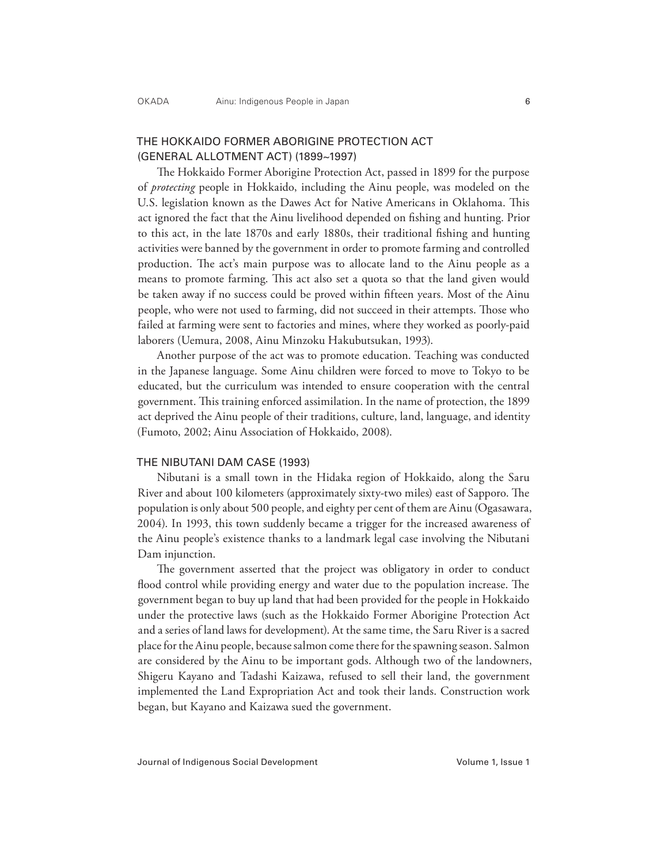# THE HOKKAIDO FORMER ABORIGINE PROTECTION ACT (GENERAL ALLOTMENT ACT) (1899~1997)

The Hokkaido Former Aborigine Protection Act, passed in 1899 for the purpose of *protecting* people in Hokkaido, including the Ainu people, was modeled on the U.S. legislation known as the Dawes Act for Native Americans in Oklahoma. This act ignored the fact that the Ainu livelihood depended on fishing and hunting. Prior to this act, in the late 1870s and early 1880s, their traditional fishing and hunting activities were banned by the government in order to promote farming and controlled production. The act's main purpose was to allocate land to the Ainu people as a means to promote farming. This act also set a quota so that the land given would be taken away if no success could be proved within fifteen years. Most of the Ainu people, who were not used to farming, did not succeed in their attempts. Those who failed at farming were sent to factories and mines, where they worked as poorly-paid laborers (Uemura, 2008, Ainu Minzoku Hakubutsukan, 1993).

Another purpose of the act was to promote education. Teaching was conducted in the Japanese language. Some Ainu children were forced to move to Tokyo to be educated, but the curriculum was intended to ensure cooperation with the central government. This training enforced assimilation. In the name of protection, the 1899 act deprived the Ainu people of their traditions, culture, land, language, and identity (Fumoto, 2002; Ainu Association of Hokkaido, 2008).

#### THE NIBUTANI DAM CASE (1993)

Nibutani is a small town in the Hidaka region of Hokkaido, along the Saru River and about 100 kilometers (approximately sixty-two miles) east of Sapporo. The population is only about 500 people, and eighty per cent of them are Ainu (Ogasawara, 2004). In 1993, this town suddenly became a trigger for the increased awareness of the Ainu people's existence thanks to a landmark legal case involving the Nibutani Dam injunction.

The government asserted that the project was obligatory in order to conduct flood control while providing energy and water due to the population increase. The government began to buy up land that had been provided for the people in Hokkaido under the protective laws (such as the Hokkaido Former Aborigine Protection Act and a series of land laws for development). At the same time, the Saru River is a sacred place for the Ainu people, because salmon come there for the spawning season. Salmon are considered by the Ainu to be important gods. Although two of the landowners, Shigeru Kayano and Tadashi Kaizawa, refused to sell their land, the government implemented the Land Expropriation Act and took their lands. Construction work began, but Kayano and Kaizawa sued the government.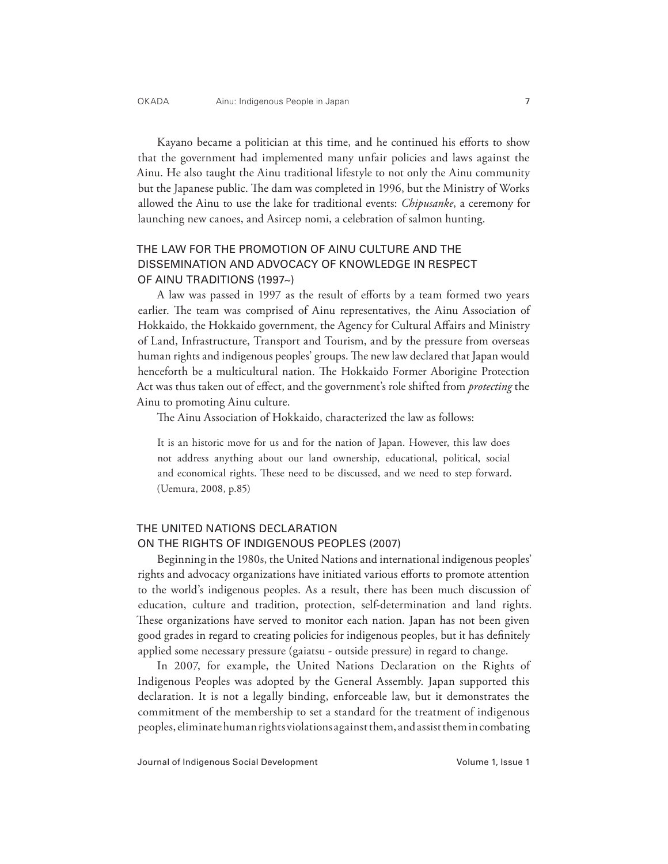Kayano became a politician at this time, and he continued his efforts to show that the government had implemented many unfair policies and laws against the Ainu. He also taught the Ainu traditional lifestyle to not only the Ainu community but the Japanese public. The dam was completed in 1996, but the Ministry of Works allowed the Ainu to use the lake for traditional events: *Chipusanke*, a ceremony for launching new canoes, and Asircep nomi, a celebration of salmon hunting.

# THE LAW FOR THE PROMOTION OF AINU CULTURE AND THE DISSEMINATION AND ADVOCACY OF KNOWLEDGE IN RESPECT OF AINU TRADITIONS (1997~)

A law was passed in 1997 as the result of efforts by a team formed two years earlier. The team was comprised of Ainu representatives, the Ainu Association of Hokkaido, the Hokkaido government, the Agency for Cultural Affairs and Ministry of Land, Infrastructure, Transport and Tourism, and by the pressure from overseas human rights and indigenous peoples' groups. The new law declared that Japan would henceforth be a multicultural nation. The Hokkaido Former Aborigine Protection Act was thus taken out of effect, and the government's role shifted from *protecting* the Ainu to promoting Ainu culture.

The Ainu Association of Hokkaido, characterized the law as follows:

It is an historic move for us and for the nation of Japan. However, this law does not address anything about our land ownership, educational, political, social and economical rights. These need to be discussed, and we need to step forward. (Uemura, 2008, p.85)

# THE UNITED NATIONS DECLARATION ON THE RIGHTS OF INDIGENOUS PEOPLES (2007)

Beginning in the 1980s, the United Nations and international indigenous peoples' rights and advocacy organizations have initiated various efforts to promote attention to the world's indigenous peoples. As a result, there has been much discussion of education, culture and tradition, protection, self-determination and land rights. These organizations have served to monitor each nation. Japan has not been given good grades in regard to creating policies for indigenous peoples, but it has definitely applied some necessary pressure (gaiatsu - outside pressure) in regard to change.

In 2007, for example, the United Nations Declaration on the Rights of Indigenous Peoples was adopted by the General Assembly. Japan supported this declaration. It is not a legally binding, enforceable law, but it demonstrates the commitment of the membership to set a standard for the treatment of indigenous peoples, eliminate human rights violations against them, and assist them in combating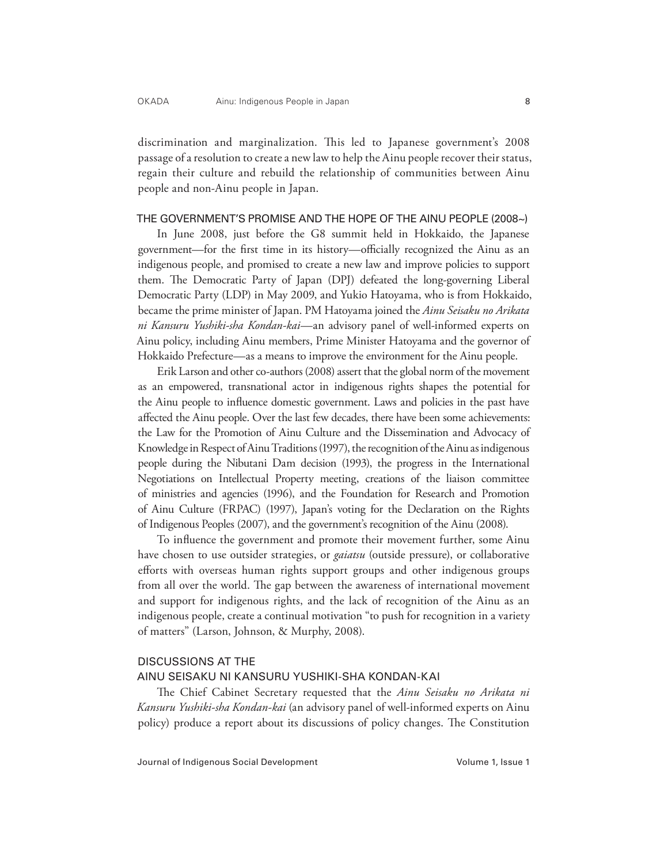discrimination and marginalization. This led to Japanese government's 2008 passage of a resolution to create a new law to help the Ainu people recover their status, regain their culture and rebuild the relationship of communities between Ainu people and non-Ainu people in Japan.

### THE GOVERNMENT'S PROMISE AND THE HOPE OF THE AINU PEOPLE (2008~)

In June 2008, just before the G8 summit held in Hokkaido, the Japanese government—for the first time in its history—officially recognized the Ainu as an indigenous people, and promised to create a new law and improve policies to support them. The Democratic Party of Japan (DPJ) defeated the long-governing Liberal Democratic Party (LDP) in May 2009, and Yukio Hatoyama, who is from Hokkaido, became the prime minister of Japan. PM Hatoyama joined the *Ainu Seisaku no Arikata ni Kansuru Yushiki-sha Kondan-kai*—an advisory panel of well-informed experts on Ainu policy, including Ainu members, Prime Minister Hatoyama and the governor of Hokkaido Prefecture—as a means to improve the environment for the Ainu people.

Erik Larson and other co-authors (2008) assert that the global norm of the movement as an empowered, transnational actor in indigenous rights shapes the potential for the Ainu people to influence domestic government. Laws and policies in the past have affected the Ainu people. Over the last few decades, there have been some achievements: the Law for the Promotion of Ainu Culture and the Dissemination and Advocacy of Knowledge in Respect of Ainu Traditions (1997), the recognition of the Ainu as indigenous people during the Nibutani Dam decision (1993), the progress in the International Negotiations on Intellectual Property meeting, creations of the liaison committee of ministries and agencies (1996), and the Foundation for Research and Promotion of Ainu Culture (FRPAC) (1997), Japan's voting for the Declaration on the Rights of Indigenous Peoples (2007), and the government's recognition of the Ainu (2008).

To influence the government and promote their movement further, some Ainu have chosen to use outsider strategies, or *gaiatsu* (outside pressure), or collaborative efforts with overseas human rights support groups and other indigenous groups from all over the world. The gap between the awareness of international movement and support for indigenous rights, and the lack of recognition of the Ainu as an indigenous people, create a continual motivation "to push for recognition in a variety of matters" (Larson, Johnson, & Murphy, 2008).

### DISCUSSIONS AT THE

### AINU SEISAKU NI KANSURU YUSHIKI-SHA KONDAN-KAI

The Chief Cabinet Secretary requested that the *Ainu Seisaku no Arikata ni Kansuru Yushiki-sha Kondan-kai* (an advisory panel of well-informed experts on Ainu policy) produce a report about its discussions of policy changes. The Constitution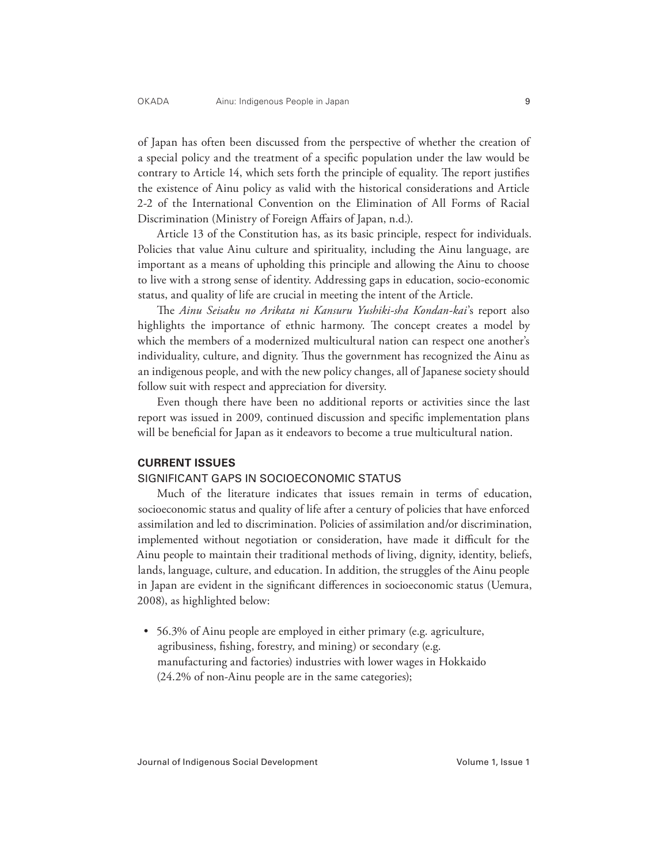of Japan has often been discussed from the perspective of whether the creation of a special policy and the treatment of a specific population under the law would be contrary to Article 14, which sets forth the principle of equality. The report justifies the existence of Ainu policy as valid with the historical considerations and Article 2-2 of the International Convention on the Elimination of All Forms of Racial Discrimination (Ministry of Foreign Affairs of Japan, n.d.).

Article 13 of the Constitution has, as its basic principle, respect for individuals. Policies that value Ainu culture and spirituality, including the Ainu language, are important as a means of upholding this principle and allowing the Ainu to choose to live with a strong sense of identity. Addressing gaps in education, socio-economic status, and quality of life are crucial in meeting the intent of the Article.

The *Ainu Seisaku no Arikata ni Kansuru Yushiki-sha Kondan-kai*'s report also highlights the importance of ethnic harmony. The concept creates a model by which the members of a modernized multicultural nation can respect one another's individuality, culture, and dignity. Thus the government has recognized the Ainu as an indigenous people, and with the new policy changes, all of Japanese society should follow suit with respect and appreciation for diversity.

Even though there have been no additional reports or activities since the last report was issued in 2009, continued discussion and specific implementation plans will be beneficial for Japan as it endeavors to become a true multicultural nation.

### **CURRENT ISSUES**

### SIGNIFICANT GAPS IN SOCIOECONOMIC STATUS

Much of the literature indicates that issues remain in terms of education, socioeconomic status and quality of life after a century of policies that have enforced assimilation and led to discrimination. Policies of assimilation and/or discrimination, implemented without negotiation or consideration, have made it difficult for the Ainu people to maintain their traditional methods of living, dignity, identity, beliefs, lands, language, culture, and education. In addition, the struggles of the Ainu people in Japan are evident in the significant differences in socioeconomic status (Uemura, 2008), as highlighted below:

• 56.3% of Ainu people are employed in either primary (e.g. agriculture, agribusiness, fishing, forestry, and mining) or secondary (e.g. manufacturing and factories) industries with lower wages in Hokkaido (24.2% of non-Ainu people are in the same categories);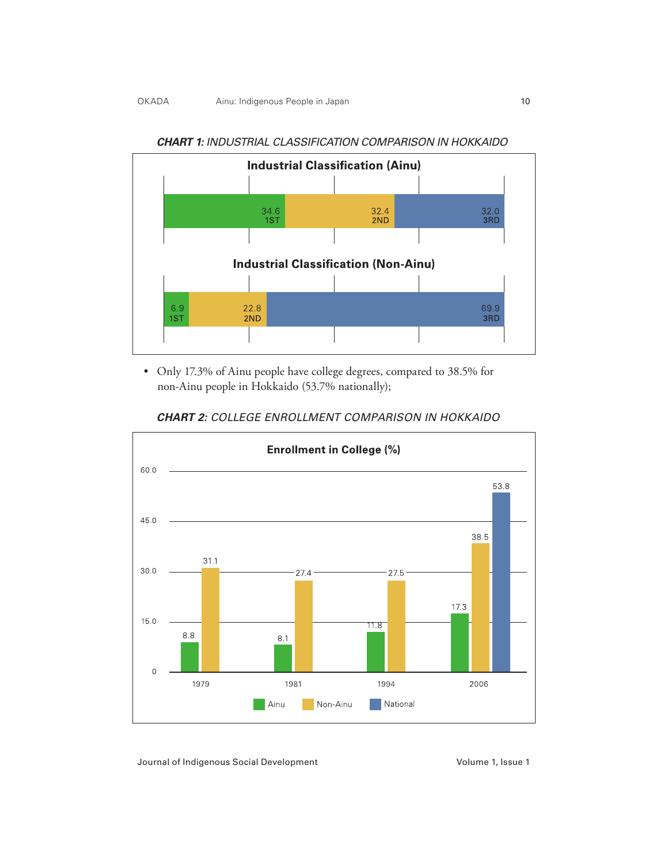

*CHART 1: INDUSTRIAL CLASSIFICATION COMPARISON IN HOKKAIDO*

• Only 17.3% of Ainu people have college degrees, compared to 38.5% for non-Ainu people in Hokkaido (53.7% nationally);



*CHART 2: COLLEGE ENROLLMENT COMPARISON IN HOKKAIDO*

Journal of Indigenous Social Development Volume 1, Issue 1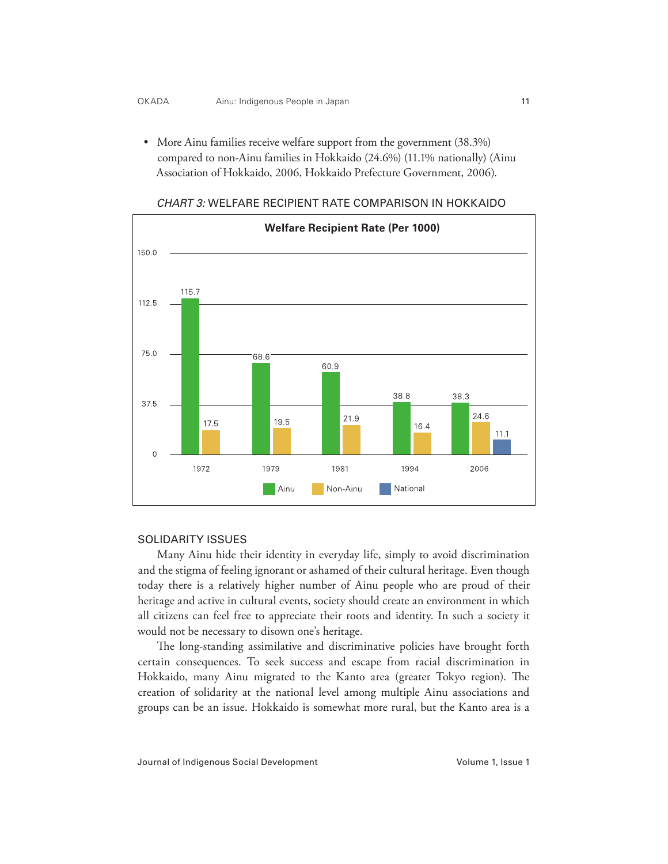• More Ainu families receive welfare support from the government (38.3%) compared to non-Ainu families in Hokkaido (24.6%) (11.1% nationally) (Ainu Association of Hokkaido, 2006, Hokkaido Prefecture Government, 2006).



### *CHART 3:* WELFARE RECIPIENT RATE COMPARISON IN HOKKAIDO

## SOLIDARITY ISSUES

Many Ainu hide their identity in everyday life, simply to avoid discrimination and the stigma of feeling ignorant or ashamed of their cultural heritage. Even though today there is a relatively higher number of Ainu people who are proud of their heritage and active in cultural events, society should create an environment in which all citizens can feel free to appreciate their roots and identity. In such a society it would not be necessary to disown one's heritage.

The long-standing assimilative and discriminative policies have brought forth certain consequences. To seek success and escape from racial discrimination in Hokkaido, many Ainu migrated to the Kanto area (greater Tokyo region). The creation of solidarity at the national level among multiple Ainu associations and groups can be an issue. Hokkaido is somewhat more rural, but the Kanto area is a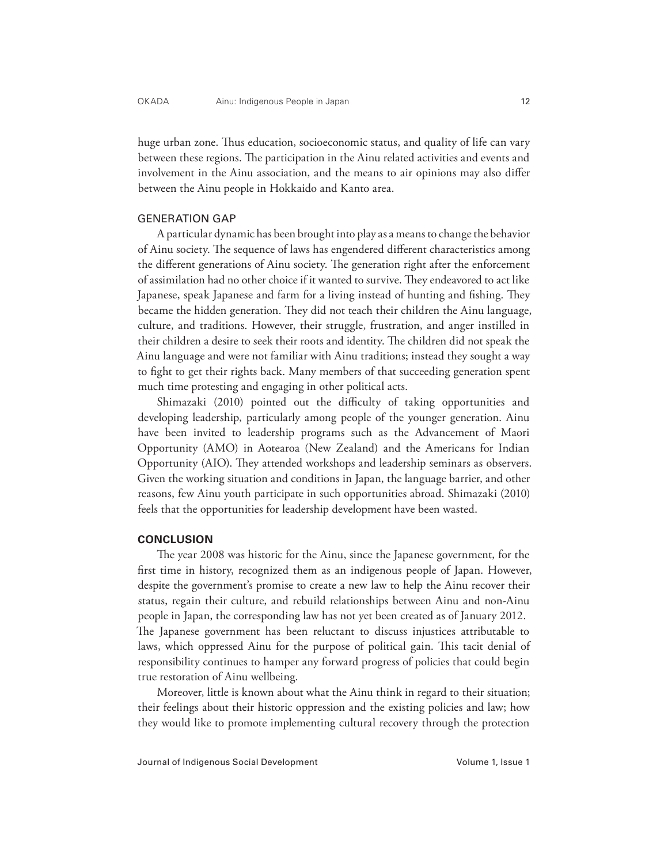huge urban zone. Thus education, socioeconomic status, and quality of life can vary between these regions. The participation in the Ainu related activities and events and involvement in the Ainu association, and the means to air opinions may also differ between the Ainu people in Hokkaido and Kanto area.

### GENERATION GAP

A particular dynamic has been brought into play as a means to change the behavior of Ainu society. The sequence of laws has engendered different characteristics among the different generations of Ainu society. The generation right after the enforcement of assimilation had no other choice if it wanted to survive. They endeavored to act like Japanese, speak Japanese and farm for a living instead of hunting and fishing. They became the hidden generation. They did not teach their children the Ainu language, culture, and traditions. However, their struggle, frustration, and anger instilled in their children a desire to seek their roots and identity. The children did not speak the Ainu language and were not familiar with Ainu traditions; instead they sought a way to fight to get their rights back. Many members of that succeeding generation spent much time protesting and engaging in other political acts.

Shimazaki (2010) pointed out the difficulty of taking opportunities and developing leadership, particularly among people of the younger generation. Ainu have been invited to leadership programs such as the Advancement of Maori Opportunity (AMO) in Aotearoa (New Zealand) and the Americans for Indian Opportunity (AIO). They attended workshops and leadership seminars as observers. Given the working situation and conditions in Japan, the language barrier, and other reasons, few Ainu youth participate in such opportunities abroad. Shimazaki (2010) feels that the opportunities for leadership development have been wasted.

### **CONCLUSION**

The year 2008 was historic for the Ainu, since the Japanese government, for the first time in history, recognized them as an indigenous people of Japan. However, despite the government's promise to create a new law to help the Ainu recover their status, regain their culture, and rebuild relationships between Ainu and non-Ainu people in Japan, the corresponding law has not yet been created as of January 2012. The Japanese government has been reluctant to discuss injustices attributable to laws, which oppressed Ainu for the purpose of political gain. This tacit denial of responsibility continues to hamper any forward progress of policies that could begin true restoration of Ainu wellbeing.

Moreover, little is known about what the Ainu think in regard to their situation; their feelings about their historic oppression and the existing policies and law; how they would like to promote implementing cultural recovery through the protection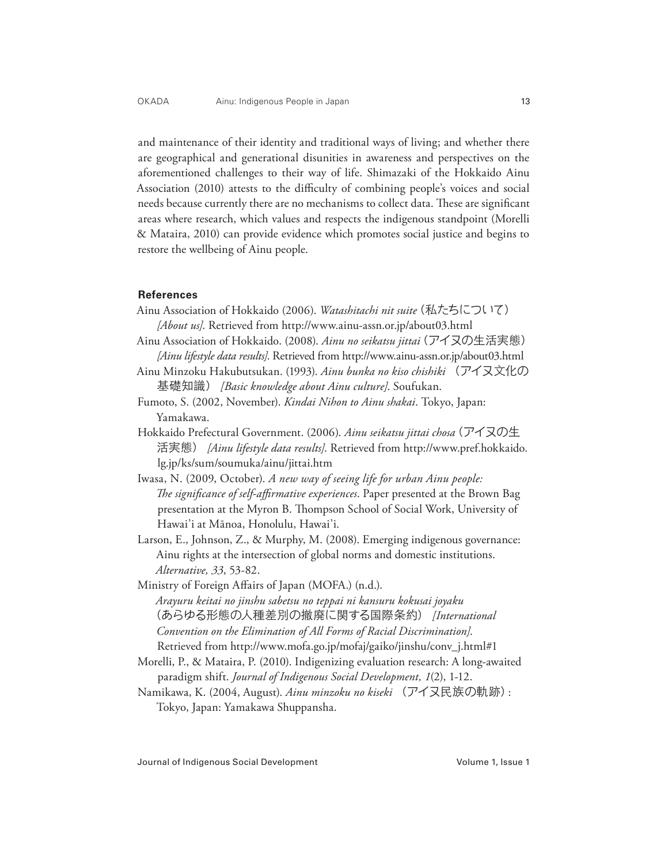and maintenance of their identity and traditional ways of living; and whether there are geographical and generational disunities in awareness and perspectives on the aforementioned challenges to their way of life. Shimazaki of the Hokkaido Ainu Association (2010) attests to the difficulty of combining people's voices and social needs because currently there are no mechanisms to collect data. These are significant areas where research, which values and respects the indigenous standpoint (Morelli & Mataira, 2010) can provide evidence which promotes social justice and begins to restore the wellbeing of Ainu people.

#### **References**

- Ainu Association of Hokkaido (2006). *Watashitachi nit suite*(私たちについて) *[About us]*. Retrieved from http://www.ainu-assn.or.jp/about03.html
- Ainu Association of Hokkaido. (2008). *Ainu no seikatsu jittai*(アイヌの生活実態) *[Ainu lifestyle data results]*. Retrieved from http://www.ainu-assn.or.jp/about03.html
- Ainu Minzoku Hakubutsukan. (1993). *Ainu bunka no kiso chishiki* (アイヌ文化の 基礎知識) *[Basic knowledge about Ainu culture]*. Soufukan.
- Fumoto, S. (2002, November). *Kindai Nihon to Ainu shakai*. Tokyo, Japan: Yamakawa.
- Hokkaido Prefectural Government. (2006). *Ainu seikatsu jittai chosa*(アイヌの生 活実態) *[Ainu lifestyle data results]*. Retrieved from http://www.pref.hokkaido. lg.jp/ks/sum/soumuka/ainu/jittai.htm
- Iwasa, N. (2009, October). *A new way of seeing life for urban Ainu people: The significance of self-affirmative experiences*. Paper presented at the Brown Bag presentation at the Myron B. Thompson School of Social Work, University of Hawai'i at Mānoa, Honolulu, Hawai'i.
- Larson, E., Johnson, Z., & Murphy, M. (2008). Emerging indigenous governance: Ainu rights at the intersection of global norms and domestic institutions. *Alternative, 33*, 53-82.
- Ministry of Foreign Affairs of Japan (MOFA.) (n.d.). *Arayuru keitai no jinshu sabetsu no teppai ni kansuru kokusai joyaku* (あらゆる形態の人種差別の撤廃に関する国際条約) *[International Convention on the Elimination of All Forms of Racial Discrimination]*. Retrieved from http://www.mofa.go.jp/mofaj/gaiko/jinshu/conv\_j.html#1
- Morelli, P., & Mataira, P. (2010). Indigenizing evaluation research: A long-awaited paradigm shift. *Journal of Indigenous Social Development, 1*(2), 1-12.
- Namikawa, K. (2004, August). *Ainu minzoku no kiseki* (アイヌ民族の軌跡): Tokyo, Japan: Yamakawa Shuppansha.

Journal of Indigenous Social Development Volume 1, Issue 1